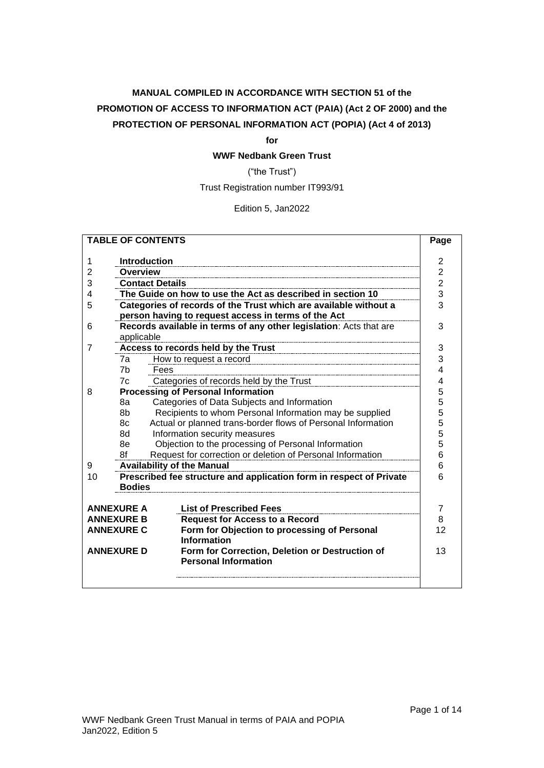# **MANUAL COMPILED IN ACCORDANCE WITH SECTION 51 of the PROMOTION OF ACCESS TO INFORMATION ACT (PAIA) (Act 2 OF 2000) and the PROTECTION OF PERSONAL INFORMATION ACT (POPIA) (Act 4 of 2013)**

#### **for**

## **WWF Nedbank Green Trust**

("the Trust")

Trust Registration number IT993/91

Edition 5, Jan2022

| <b>TABLE OF CONTENTS</b>                                             |                                                                            |                                                                     | Page           |  |  |  |
|----------------------------------------------------------------------|----------------------------------------------------------------------------|---------------------------------------------------------------------|----------------|--|--|--|
|                                                                      |                                                                            |                                                                     | $\overline{2}$ |  |  |  |
| 1                                                                    |                                                                            | <b>Introduction</b>                                                 |                |  |  |  |
| $\overline{2}$                                                       |                                                                            | <b>Overview</b>                                                     |                |  |  |  |
| 3                                                                    |                                                                            | <b>Contact Details</b>                                              | $\overline{2}$ |  |  |  |
| 4                                                                    |                                                                            | The Guide on how to use the Act as described in section 10          | 3              |  |  |  |
| 5                                                                    |                                                                            | Categories of records of the Trust which are available without a    | 3              |  |  |  |
|                                                                      |                                                                            | person having to request access in terms of the Act                 |                |  |  |  |
| 6                                                                    |                                                                            | Records available in terms of any other legislation: Acts that are  | 3              |  |  |  |
|                                                                      | applicable                                                                 |                                                                     |                |  |  |  |
| 7                                                                    |                                                                            | Access to records held by the Trust                                 | 3              |  |  |  |
|                                                                      | 7a                                                                         | How to request a record                                             | 3              |  |  |  |
|                                                                      | 7 <sub>b</sub>                                                             | Fees                                                                | 4              |  |  |  |
|                                                                      | 7c                                                                         | Categories of records held by the Trust                             | 4              |  |  |  |
| 8                                                                    |                                                                            | <b>Processing of Personal Information</b>                           | 5              |  |  |  |
|                                                                      | 8а                                                                         | Categories of Data Subjects and Information                         | 5              |  |  |  |
|                                                                      | 8b                                                                         | Recipients to whom Personal Information may be supplied             | 5              |  |  |  |
|                                                                      | 8c                                                                         | Actual or planned trans-border flows of Personal Information        | 5<br>5         |  |  |  |
|                                                                      | 8d                                                                         | Information security measures                                       |                |  |  |  |
|                                                                      | 8e                                                                         | Objection to the processing of Personal Information                 |                |  |  |  |
|                                                                      | 5<br>6<br>Request for correction or deletion of Personal Information<br>8f |                                                                     |                |  |  |  |
| <b>Availability of the Manual</b><br>6<br>9                          |                                                                            |                                                                     |                |  |  |  |
| 10                                                                   |                                                                            | Prescribed fee structure and application form in respect of Private | 6              |  |  |  |
|                                                                      | <b>Bodies</b>                                                              |                                                                     |                |  |  |  |
|                                                                      |                                                                            |                                                                     |                |  |  |  |
|                                                                      | <b>ANNEXURE A</b>                                                          | <b>List of Prescribed Fees</b>                                      | 7              |  |  |  |
|                                                                      | <b>ANNEXURE B</b>                                                          | <b>Request for Access to a Record</b>                               | 8              |  |  |  |
|                                                                      | <b>ANNEXURE C</b>                                                          | Form for Objection to processing of Personal                        | 12             |  |  |  |
| <b>Information</b>                                                   |                                                                            |                                                                     |                |  |  |  |
| Form for Correction, Deletion or Destruction of<br><b>ANNEXURE D</b> |                                                                            |                                                                     | 13             |  |  |  |
|                                                                      |                                                                            | <b>Personal Information</b>                                         |                |  |  |  |
|                                                                      |                                                                            |                                                                     |                |  |  |  |
|                                                                      |                                                                            |                                                                     |                |  |  |  |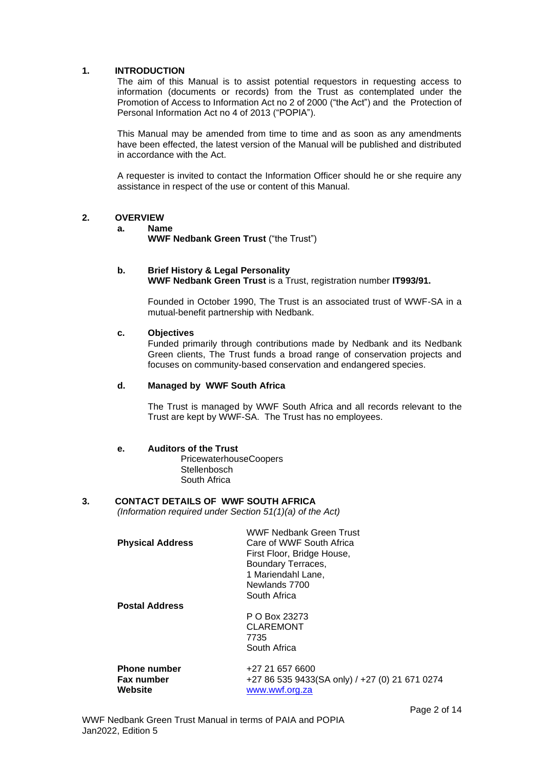#### <span id="page-1-0"></span>**1. INTRODUCTION**

The aim of this Manual is to assist potential requestors in requesting access to information (documents or records) from the Trust as contemplated under the Promotion of Access to Information Act no 2 of 2000 ("the Act") and the Protection of Personal Information Act no 4 of 2013 ("POPIA").

This Manual may be amended from time to time and as soon as any amendments have been effected, the latest version of the Manual will be published and distributed in accordance with the Act.

A requester is invited to contact the Information Officer should he or she require any assistance in respect of the use or content of this Manual.

#### <span id="page-1-1"></span>**2. OVERVIEW**

#### **a. Name**

**WWF Nedbank Green Trust** ("the Trust")

#### **b. Brief History & Legal Personality WWF Nedbank Green Trust** is a Trust, registration number **IT993/91.**

Founded in October 1990, The Trust is an associated trust of WWF-SA in a mutual-benefit partnership with Nedbank.

#### **c. Objectives**

Funded primarily through contributions made by Nedbank and its Nedbank Green clients, The Trust funds a broad range of conservation projects and focuses on community-based conservation and endangered species.

#### **d. Managed by WWF South Africa**

The Trust is managed by WWF South Africa and all records relevant to the Trust are kept by WWF-SA. The Trust has no employees.

#### **e. Auditors of the Trust**

PricewaterhouseCoopers **Stellenbosch** South Africa

### <span id="page-1-2"></span>**3. CONTACT DETAILS OF WWF SOUTH AFRICA**

*(Information required under Section 51(1)(a) of the Act)*

|                         | <b>WWF Nedbank Green Trust</b> |
|-------------------------|--------------------------------|
| <b>Physical Address</b> | Care of WWF South Africa       |
|                         | First Floor, Bridge House,     |
|                         | Boundary Terraces,             |
|                         | 1 Mariendahl Lane,             |
|                         | Newlands 7700                  |
|                         | South Africa                   |
| <b>Postal Address</b>   |                                |
|                         | P O Box 23273                  |
|                         | CLAREMONT                      |

CLAREMONT 7735 South Africa

| <b>Phone number</b> | +27 21 657 6600                                |
|---------------------|------------------------------------------------|
| <b>Fax number</b>   | +27 86 535 9433(SA only) / +27 (0) 21 671 0274 |
| Website             | www.wwf.org.za                                 |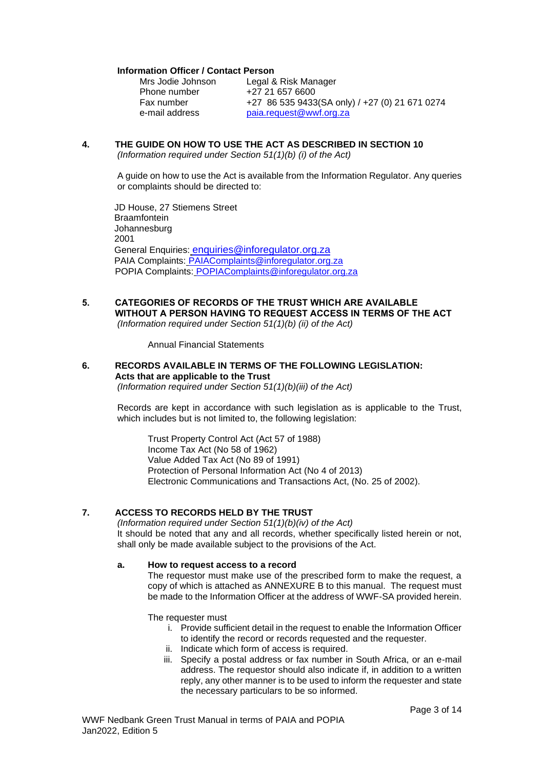#### **Information Officer / Contact Person**

| Mrs Jodie Johnson | Legal & Risk Manager                           |
|-------------------|------------------------------------------------|
| Phone number      | +27 21 657 6600                                |
| Fax number        | +27 86 535 9433(SA only) / +27 (0) 21 671 0274 |
| e-mail address    | paia.request@wwf.org.za                        |

# <span id="page-2-0"></span>**4. THE GUIDE ON HOW TO USE THE ACT AS DESCRIBED IN SECTION 10**

*(Information required under Section 51(1)(b) (i) of the Act)*

A guide on how to use the Act is available from the Information Regulator. Any queries or complaints should be directed to:

JD House, 27 Stiemens Street **Braamfontein** Johannesburg 2001 General Enquiries: [enquiries@inforegulator.org.za](mailto:enquiries@inforegulator.org.za) PAIA Complaints: [PAIAComplaints@inforegulator.org.za](mailto:PAIAComplaints@inforegulator.org.za) POPIA Complaints: POPIAComplaints@inforegulator.org.za

#### <span id="page-2-1"></span>**5. CATEGORIES OF RECORDS OF THE TRUST WHICH ARE AVAILABLE WITHOUT A PERSON HAVING TO REQUEST ACCESS IN TERMS OF THE ACT** *(Information required under Section 51(1)(b) (ii) of the Act)*

Annual Financial Statements

#### <span id="page-2-2"></span>**6. RECORDS AVAILABLE IN TERMS OF THE FOLLOWING LEGISLATION: Acts that are applicable to the Trust** *(Information required under Section 51(1)(b)(iii) of the Act)*

Records are kept in accordance with such legislation as is applicable to the Trust, which includes but is not limited to, the following legislation:

Trust Property Control Act (Act 57 of 1988) Income Tax Act (No 58 of 1962) Value Added Tax Act (No 89 of 1991) Protection of Personal Information Act (No 4 of 2013) Electronic Communications and Transactions Act, (No. 25 of 2002).

## <span id="page-2-3"></span>**7. ACCESS TO RECORDS HELD BY THE TRUST**

*(Information required under Section 51(1)(b)(iv) of the Act)* It should be noted that any and all records, whether specifically listed herein or not, shall only be made available subject to the provisions of the Act.

#### <span id="page-2-4"></span>**a. How to request access to a record**

The requestor must make use of the prescribed form to make the request, a copy of which is attached as ANNEXURE B to this manual. The request must be made to the Information Officer at the address of WWF-SA provided herein.

The requester must

- i. Provide sufficient detail in the request to enable the Information Officer to identify the record or records requested and the requester.
- ii. Indicate which form of access is required.
- iii. Specify a postal address or fax number in South Africa, or an e-mail address. The requestor should also indicate if, in addition to a written reply, any other manner is to be used to inform the requester and state the necessary particulars to be so informed.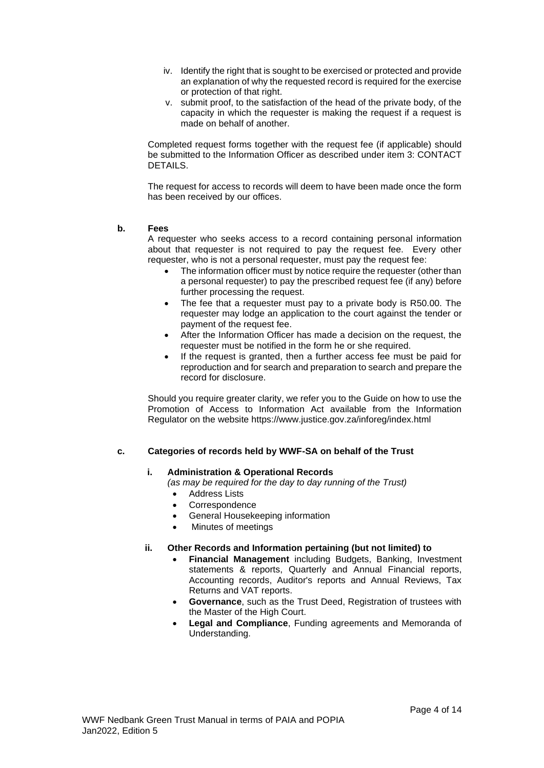- iv. Identify the right that is sought to be exercised or protected and provide an explanation of why the requested record is required for the exercise or protection of that right.
- v. submit proof, to the satisfaction of the head of the private body, of the capacity in which the requester is making the request if a request is made on behalf of another.

Completed request forms together with the request fee (if applicable) should be submitted to the Information Officer as described under item 3: CONTACT DETAILS.

The request for access to records will deem to have been made once the form has been received by our offices.

#### <span id="page-3-0"></span>**b. Fees**

A requester who seeks access to a record containing personal information about that requester is not required to pay the request fee. Every other requester, who is not a personal requester, must pay the request fee:

- The information officer must by notice require the requester (other than a personal requester) to pay the prescribed request fee (if any) before further processing the request.
- The fee that a requester must pay to a private body is R50.00. The requester may lodge an application to the court against the tender or payment of the request fee.
- After the Information Officer has made a decision on the request, the requester must be notified in the form he or she required.
- If the request is granted, then a further access fee must be paid for reproduction and for search and preparation to search and prepare the record for disclosure.

Should you require greater clarity, we refer you to the Guide on how to use the Promotion of Access to Information Act available from the Information Regulator on the website https://www.justice.gov.za/inforeg/index.html

## <span id="page-3-1"></span>**c. Categories of records held by WWF-SA on behalf of the Trust**

## **i. Administration & Operational Records**

*(as may be required for the day to day running of the Trust)*

- Address Lists
- **Correspondence**
- General Housekeeping information
- Minutes of meetings

#### **ii. Other Records and Information pertaining (but not limited) to**

- **Financial Management** including Budgets, Banking, Investment statements & reports, Quarterly and Annual Financial reports, Accounting records, Auditor's reports and Annual Reviews, Tax Returns and VAT reports.
- **Governance**, such as the Trust Deed, Registration of trustees with the Master of the High Court.
- **Legal and Compliance**, Funding agreements and Memoranda of Understanding.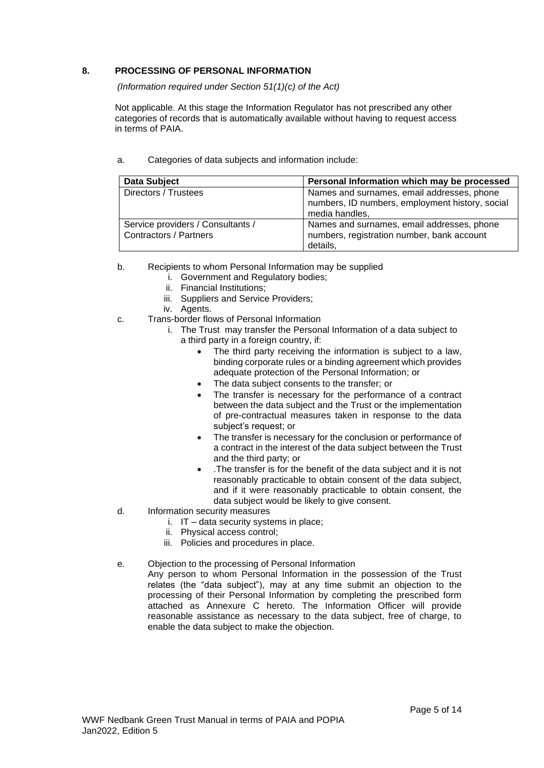## <span id="page-4-0"></span>**8. PROCESSING OF PERSONAL INFORMATION**

*(Information required under Section 51(1)(c) of the Act)*

Not applicable. At this stage the Information Regulator has not prescribed any other categories of records that is automatically available without having to request access in terms of PAIA.

| <b>Data Subject</b>                                                | Personal Information which may be processed                                                                     |
|--------------------------------------------------------------------|-----------------------------------------------------------------------------------------------------------------|
| Directors / Trustees                                               | Names and surnames, email addresses, phone<br>numbers, ID numbers, employment history, social<br>media handles, |
| Service providers / Consultants /<br><b>Contractors / Partners</b> | Names and surnames, email addresses, phone<br>numbers, registration number, bank account<br>details.            |

<span id="page-4-1"></span>a. Categories of data subjects and information include:

- <span id="page-4-2"></span>b. Recipients to whom Personal Information may be supplied
	- i. Government and Regulatory bodies;
	- ii. Financial Institutions;
	- iii. Suppliers and Service Providers;
	- iv. Agents.
- <span id="page-4-3"></span>c. Trans-border flows of Personal Information
	- i. The Trust may transfer the Personal Information of a data subject to a third party in a foreign country, if:
		- The third party receiving the information is subject to a law, binding corporate rules or a binding agreement which provides adequate protection of the Personal Information; or
		- The data subject consents to the transfer; or
		- The transfer is necessary for the performance of a contract between the data subject and the Trust or the implementation of pre-contractual measures taken in response to the data subject's request; or
		- The transfer is necessary for the conclusion or performance of a contract in the interest of the data subject between the Trust and the third party; or
		- .The transfer is for the benefit of the data subject and it is not reasonably practicable to obtain consent of the data subject, and if it were reasonably practicable to obtain consent, the data subject would be likely to give consent.
- <span id="page-4-4"></span>d. Information security measures
	- i. IT data security systems in place;
	- ii. Physical access control;
	- iii. Policies and procedures in place.
- <span id="page-4-5"></span>e. Objection to the processing of Personal Information
	- Any person to whom Personal Information in the possession of the Trust relates (the "data subject"), may at any time submit an objection to the processing of their Personal Information by completing the prescribed form attached as Annexure C hereto. The Information Officer will provide reasonable assistance as necessary to the data subject, free of charge, to enable the data subject to make the objection.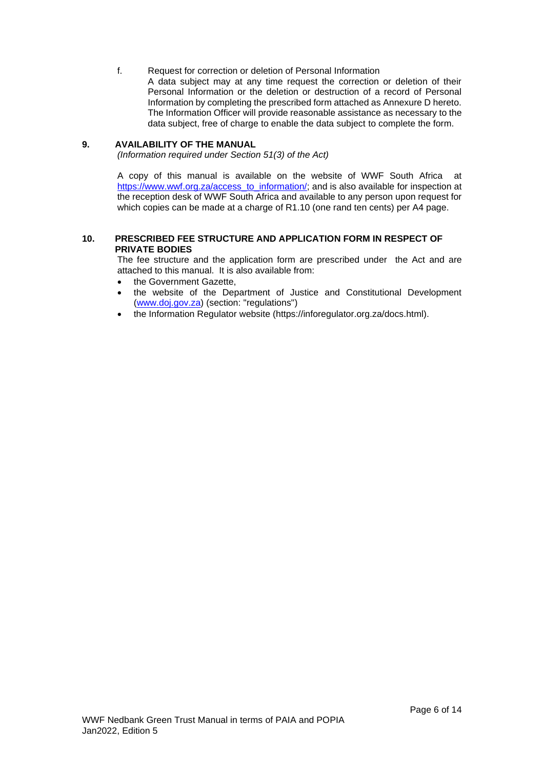<span id="page-5-0"></span>f. Request for correction or deletion of Personal Information A data subject may at any time request the correction or deletion of their Personal Information or the deletion or destruction of a record of Personal Information by completing the prescribed form attached as Annexure D hereto. The Information Officer will provide reasonable assistance as necessary to the data subject, free of charge to enable the data subject to complete the form.

## <span id="page-5-1"></span>**9. AVAILABILITY OF THE MANUAL**

*(Information required under Section 51(3) of the Act)*

A copy of this manual is available on the website of WWF South Africa at [https://www.wwf.org.za/access\\_to\\_information/;](https://www.wwf.org.za/access_to_information/) and is also available for inspection at the reception desk of WWF South Africa and available to any person upon request for which copies can be made at a charge of R1.10 (one rand ten cents) per A4 page.

### <span id="page-5-2"></span>**10. PRESCRIBED FEE STRUCTURE AND APPLICATION FORM IN RESPECT OF PRIVATE BODIES**

The fee structure and the application form are prescribed under the Act and are attached to this manual. It is also available from:

- the Government Gazette,
- the website of the Department of Justice and Constitutional Development [\(www.doj.gov.za\)](http://www.doj.gov.za/) (section: "regulations")
- the Information Regulator website (https://inforegulator.org.za/docs.html).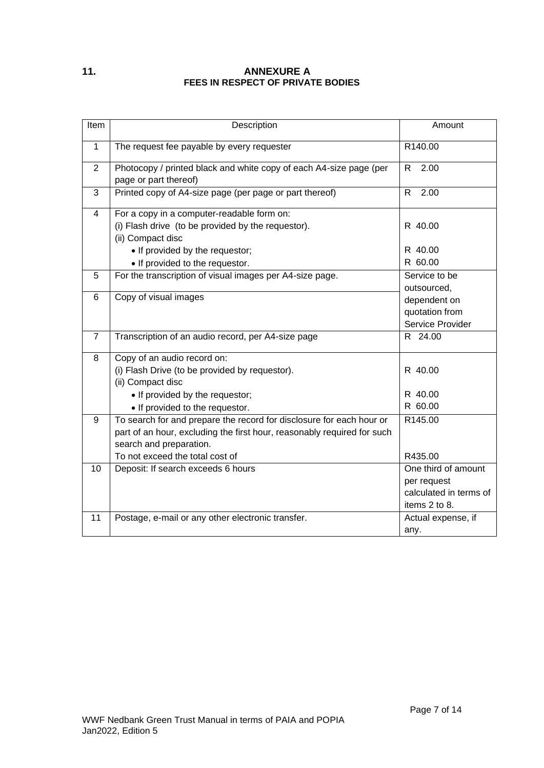## <span id="page-6-0"></span>**11. ANNEXURE A FEES IN RESPECT OF PRIVATE BODIES**

| Item           | Description                                                             | Amount                 |
|----------------|-------------------------------------------------------------------------|------------------------|
| 1              | The request fee payable by every requester                              | R140.00                |
| $\overline{2}$ | Photocopy / printed black and white copy of each A4-size page (per      | 2.00<br>R              |
|                | page or part thereof)                                                   |                        |
| 3              | Printed copy of A4-size page (per page or part thereof)                 | R.<br>2.00             |
| $\overline{4}$ | For a copy in a computer-readable form on:                              |                        |
|                | (i) Flash drive (to be provided by the requestor).                      | R 40.00                |
|                | (ii) Compact disc                                                       |                        |
|                | • If provided by the requestor;                                         | R 40.00                |
|                | • If provided to the requestor.                                         | R 60.00                |
| 5              | For the transcription of visual images per A4-size page.                | Service to be          |
|                |                                                                         | outsourced,            |
| 6              | Copy of visual images                                                   | dependent on           |
|                |                                                                         | quotation from         |
|                |                                                                         | Service Provider       |
| $\overline{7}$ | Transcription of an audio record, per A4-size page                      | R 24.00                |
| 8              | Copy of an audio record on:                                             |                        |
|                | (i) Flash Drive (to be provided by requestor).                          | R 40.00                |
|                | (ii) Compact disc                                                       |                        |
|                | • If provided by the requestor;                                         | R 40.00                |
|                | • If provided to the requestor.                                         | R 60.00                |
| 9              | To search for and prepare the record for disclosure for each hour or    | R145.00                |
|                | part of an hour, excluding the first hour, reasonably required for such |                        |
|                | search and preparation.                                                 |                        |
|                | To not exceed the total cost of                                         | R435.00                |
| 10             | Deposit: If search exceeds 6 hours                                      | One third of amount    |
|                |                                                                         | per request            |
|                |                                                                         | calculated in terms of |
|                |                                                                         | items 2 to 8.          |
| 11             | Postage, e-mail or any other electronic transfer.                       | Actual expense, if     |
|                |                                                                         | any.                   |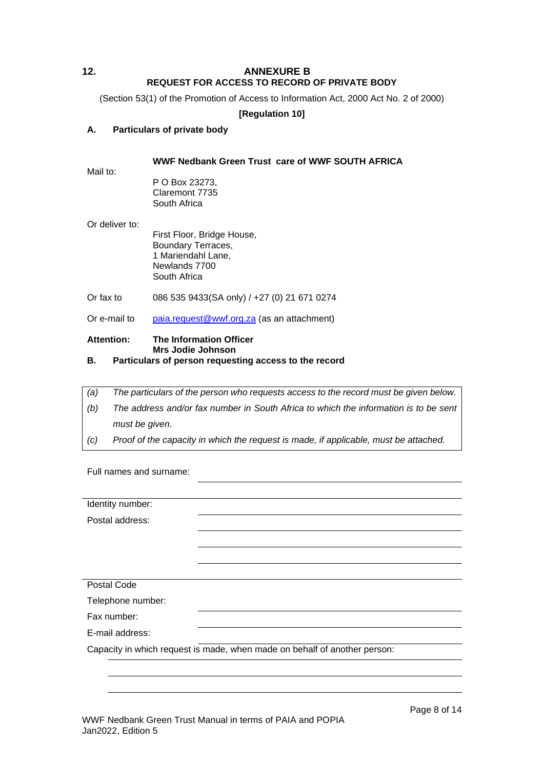## <span id="page-7-0"></span>**12. ANNEXURE B REQUEST FOR ACCESS TO RECORD OF PRIVATE BODY**

(Section 53(1) of the Promotion of Access to Information Act, 2000 Act No. 2 of 2000)

## **[Regulation 10]**

## **A. Particulars of private body**

## **WWF Nedbank Green Trust care of WWF SOUTH AFRICA**

Mail to:

P O Box 23273, Claremont 7735 South Africa

Or deliver to:

First Floor, Bridge House, Boundary Terraces, 1 Mariendahl Lane, Newlands 7700 South Africa

Or fax to 086 535 9433(SA only) / +27 (0) 21 671 0274

Or e-mail to [paia.request@wwf.org.za](mailto:paia.request@wwf.org.za) (as an attachment)

#### **Attention: The Information Officer Mrs Jodie Johnson**

## **B. Particulars of person requesting access to the record**

| (a) | The particulars of the person who requests access to the record must be given below. |
|-----|--------------------------------------------------------------------------------------|
| (b) | The address and/or fax number in South Africa to which the information is to be sent |
|     | must be given.                                                                       |
| (C) | Proof of the capacity in which the request is made, if applicable, must be attached. |

Full names and surname:

| Identity number:  |                                                                           |
|-------------------|---------------------------------------------------------------------------|
| Postal address:   |                                                                           |
|                   |                                                                           |
|                   |                                                                           |
|                   |                                                                           |
| Postal Code       |                                                                           |
| Telephone number: |                                                                           |
| Fax number:       |                                                                           |
| E-mail address:   |                                                                           |
|                   | Capacity in which request is made, when made on behalf of another person: |
|                   |                                                                           |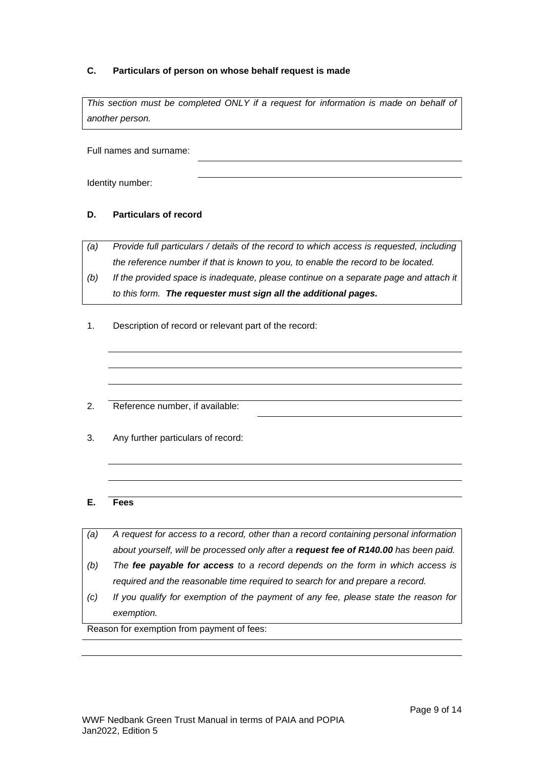## **C. Particulars of person on whose behalf request is made**

This section must be completed ONLY if a request for information is made on behalf of *another person.*

Full names and surname:

Identity number:

## **D. Particulars of record**

*(a) Provide full particulars / details of the record to which access is requested, including the reference number if that is known to you, to enable the record to be located.*

- *(b) If the provided space is inadequate, please continue on a separate page and attach it to this form. The requester must sign all the additional pages.*
- 1. Description of record or relevant part of the record:
- 2. Reference number, if available:
- 3. Any further particulars of record:

## **E. Fees**

- *(a) A request for access to a record, other than a record containing personal information about yourself, will be processed only after a request fee of R140.00 has been paid.*
- *(b) The fee payable for access to a record depends on the form in which access is required and the reasonable time required to search for and prepare a record.*
- *(c) If you qualify for exemption of the payment of any fee, please state the reason for exemption.*

Reason for exemption from payment of fees: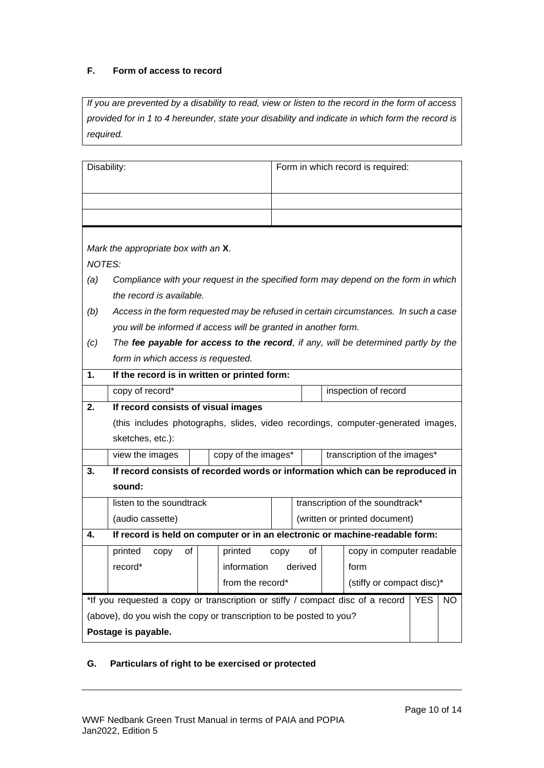# **F. Form of access to record**

*If you are prevented by a disability to read, view or listen to the record in the form of access provided for in 1 to 4 hereunder, state your disability and indicate in which form the record is required.*

| Disability:                                                                                         |                                                                                  |                                  | Form in which record is required: |                               |                              |  |  |
|-----------------------------------------------------------------------------------------------------|----------------------------------------------------------------------------------|----------------------------------|-----------------------------------|-------------------------------|------------------------------|--|--|
|                                                                                                     |                                                                                  |                                  |                                   |                               |                              |  |  |
|                                                                                                     |                                                                                  |                                  |                                   |                               |                              |  |  |
|                                                                                                     |                                                                                  |                                  |                                   |                               |                              |  |  |
| Mark the appropriate box with an X.                                                                 |                                                                                  |                                  |                                   |                               |                              |  |  |
| <b>NOTES:</b>                                                                                       |                                                                                  |                                  |                                   |                               |                              |  |  |
| Compliance with your request in the specified form may depend on the form in which<br>(a)           |                                                                                  |                                  |                                   |                               |                              |  |  |
| the record is available.                                                                            |                                                                                  |                                  |                                   |                               |                              |  |  |
| Access in the form requested may be refused in certain circumstances. In such a case<br>(b)         |                                                                                  |                                  |                                   |                               |                              |  |  |
| you will be informed if access will be granted in another form.                                     |                                                                                  |                                  |                                   |                               |                              |  |  |
| The fee payable for access to the record, if any, will be determined partly by the<br>(c)           |                                                                                  |                                  |                                   |                               |                              |  |  |
| form in which access is requested.                                                                  |                                                                                  |                                  |                                   |                               |                              |  |  |
| If the record is in written or printed form:<br>1.                                                  |                                                                                  |                                  |                                   |                               |                              |  |  |
| copy of record*                                                                                     | inspection of record                                                             |                                  |                                   |                               |                              |  |  |
| 2.                                                                                                  | If record consists of visual images                                              |                                  |                                   |                               |                              |  |  |
|                                                                                                     | (this includes photographs, slides, video recordings, computer-generated images, |                                  |                                   |                               |                              |  |  |
| sketches, etc.):                                                                                    |                                                                                  |                                  |                                   |                               |                              |  |  |
| view the images                                                                                     | copy of the images*                                                              |                                  |                                   |                               | transcription of the images* |  |  |
| 3.                                                                                                  | If record consists of recorded words or information which can be reproduced in   |                                  |                                   |                               |                              |  |  |
| sound:                                                                                              |                                                                                  |                                  |                                   |                               |                              |  |  |
| listen to the soundtrack                                                                            |                                                                                  | transcription of the soundtrack* |                                   |                               |                              |  |  |
| (audio cassette)                                                                                    |                                                                                  |                                  |                                   | (written or printed document) |                              |  |  |
| 4.                                                                                                  | If record is held on computer or in an electronic or machine-readable form:      |                                  |                                   |                               |                              |  |  |
| printed<br>copy<br>οf                                                                               | printed                                                                          | CODV                             | οf                                |                               | copy in computer readable    |  |  |
| record*                                                                                             | information derived                                                              |                                  |                                   |                               | form                         |  |  |
|                                                                                                     | from the record*                                                                 |                                  |                                   | (stiffy or compact disc)*     |                              |  |  |
| *If you requested a copy or transcription or stiffy / compact disc of a record<br><b>YES</b><br>NO. |                                                                                  |                                  |                                   |                               |                              |  |  |
| (above), do you wish the copy or transcription to be posted to you?                                 |                                                                                  |                                  |                                   |                               |                              |  |  |
| Postage is payable.                                                                                 |                                                                                  |                                  |                                   |                               |                              |  |  |

# **G. Particulars of right to be exercised or protected**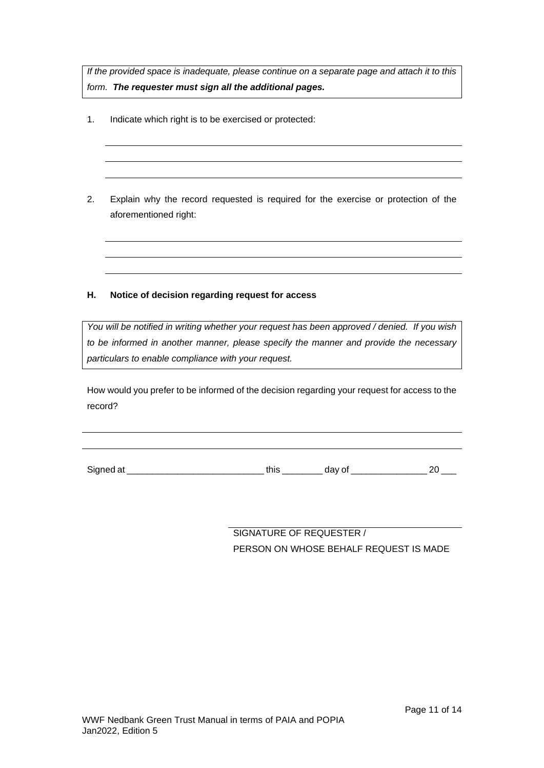*If the provided space is inadequate, please continue on a separate page and attach it to this form. The requester must sign all the additional pages.*

- 1. Indicate which right is to be exercised or protected:
- 2. Explain why the record requested is required for the exercise or protection of the aforementioned right:

# **H. Notice of decision regarding request for access**

*You will be notified in writing whether your request has been approved / denied. If you wish to be informed in another manner, please specify the manner and provide the necessary particulars to enable compliance with your request.*

How would you prefer to be informed of the decision regarding your request for access to the record?

Signed at \_\_\_\_\_\_\_\_\_\_\_\_\_\_\_\_\_\_\_\_\_\_\_\_\_\_\_ this \_\_\_\_\_\_\_\_ day of \_\_\_\_\_\_\_\_\_\_\_\_\_\_\_ 20 \_\_\_

SIGNATURE OF REQUESTER / PERSON ON WHOSE BEHALF REQUEST IS MADE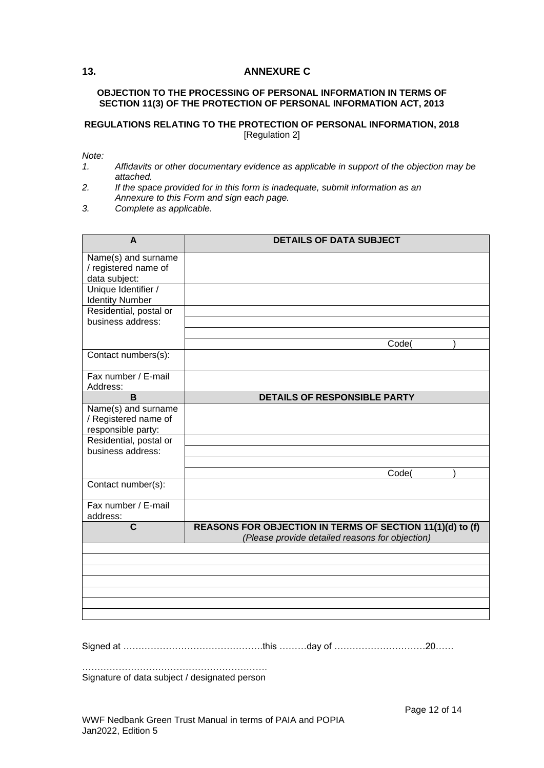## <span id="page-11-0"></span>**13. ANNEXURE C**

#### **OBJECTION TO THE PROCESSING OF PERSONAL INFORMATION IN TERMS OF SECTION 11(3) OF THE PROTECTION OF PERSONAL INFORMATION ACT, 2013**

#### **REGULATIONS RELATING TO THE PROTECTION OF PERSONAL INFORMATION, 2018** [Regulation 2]

*Note:*

- *1. Affidavits or other documentary evidence as applicable in support of the objection may be attached.*
- *2. If the space provided for in this form is inadequate, submit information as an Annexure to this Form and sign each page.*
- *3. Complete as applicable.*

| <b>DETAILS OF DATA SUBJECT</b>                                                                               |
|--------------------------------------------------------------------------------------------------------------|
|                                                                                                              |
|                                                                                                              |
|                                                                                                              |
| Code(                                                                                                        |
|                                                                                                              |
|                                                                                                              |
| DETAILS OF RESPONSIBLE PARTY                                                                                 |
|                                                                                                              |
|                                                                                                              |
| Code(                                                                                                        |
|                                                                                                              |
|                                                                                                              |
| REASONS FOR OBJECTION IN TERMS OF SECTION 11(1)(d) to (f)<br>(Please provide detailed reasons for objection) |
|                                                                                                              |
|                                                                                                              |
|                                                                                                              |
|                                                                                                              |
|                                                                                                              |
|                                                                                                              |

Signed at ……………………………………….this ………day of …………………………20……

……………………………………………………. Signature of data subject / designated person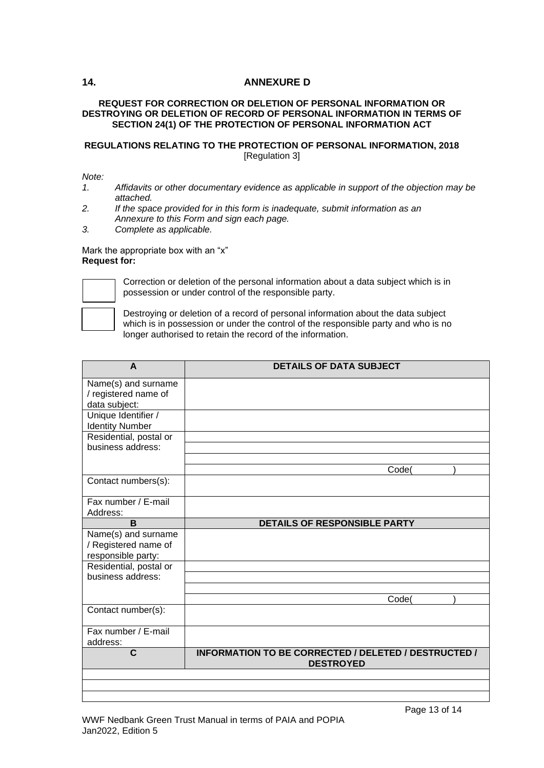## <span id="page-12-0"></span>**14. ANNEXURE D**

## **REQUEST FOR CORRECTION OR DELETION OF PERSONAL INFORMATION OR DESTROYING OR DELETION OF RECORD OF PERSONAL INFORMATION IN TERMS OF SECTION 24(1) OF THE PROTECTION OF PERSONAL INFORMATION ACT**

## **REGULATIONS RELATING TO THE PROTECTION OF PERSONAL INFORMATION, 2018** [Regulation 3]

#### *Note:*

- *1. Affidavits or other documentary evidence as applicable in support of the objection may be attached.*
- *2. If the space provided for in this form is inadequate, submit information as an Annexure to this Form and sign each page.*
- *3. Complete as applicable.*

#### Mark the appropriate box with an "x" **Request for:**



Correction or deletion of the personal information about a data subject which is in possession or under control of the responsible party.

Destroying or deletion of a record of personal information about the data subject which is in possession or under the control of the responsible party and who is no longer authorised to retain the record of the information.

| A                                           | <b>DETAILS OF DATA SUBJECT</b>                       |
|---------------------------------------------|------------------------------------------------------|
| Name(s) and surname                         |                                                      |
| / registered name of                        |                                                      |
| data subject:                               |                                                      |
| Unique Identifier /                         |                                                      |
| <b>Identity Number</b>                      |                                                      |
| Residential, postal or                      |                                                      |
| business address:                           |                                                      |
|                                             |                                                      |
|                                             | Code(                                                |
| Contact numbers(s):                         |                                                      |
| Fax number / E-mail                         |                                                      |
| Address:                                    |                                                      |
| B                                           | <b>DETAILS OF RESPONSIBLE PARTY</b>                  |
| Name(s) and surname                         |                                                      |
| / Registered name of                        |                                                      |
| responsible party:                          |                                                      |
| Residential, postal or<br>business address: |                                                      |
|                                             |                                                      |
|                                             | Code(                                                |
| Contact number(s):                          |                                                      |
|                                             |                                                      |
| Fax number / E-mail                         |                                                      |
| address:                                    |                                                      |
| $\mathbf C$                                 | INFORMATION TO BE CORRECTED / DELETED / DESTRUCTED / |
|                                             | <b>DESTROYED</b>                                     |
|                                             |                                                      |
|                                             |                                                      |